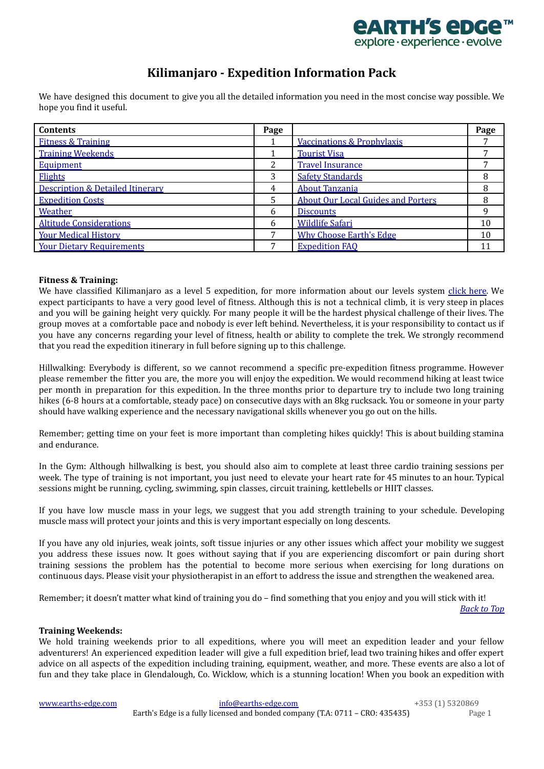

### **Kilimanjaro - Expedition Information Pack**

<span id="page-0-2"></span>We have designed this document to give you all the detailed information you need in the most concise way possible. We hope you find it useful.

| <b>Contents</b>                             | Page |                                           | Page |
|---------------------------------------------|------|-------------------------------------------|------|
| <b>Fitness &amp; Training</b>               |      | <b>Vaccinations &amp; Prophylaxis</b>     |      |
| <b>Training Weekends</b>                    |      | <b>Tourist Visa</b>                       |      |
| Equipment                                   | 2    | <b>Travel Insurance</b>                   |      |
| <b>Flights</b>                              | 3    | <b>Safety Standards</b>                   | 8    |
| <b>Description &amp; Detailed Itinerary</b> | 4    | <b>About Tanzania</b>                     | 8    |
| <b>Expedition Costs</b>                     | 5.   | <b>About Our Local Guides and Porters</b> | 8    |
| Weather                                     | 6    | <b>Discounts</b>                          | 9    |
| <b>Altitude Considerations</b>              | 6    | <b>Wildlife Safari</b>                    | 10   |
| <b>Your Medical History</b>                 |      | <b>Why Choose Earth's Edge</b>            | 10   |
| <b>Your Dietary Requirements</b>            |      | <b>Expedition FAQ</b>                     | 11   |

### <span id="page-0-0"></span>**Fitness & Training:**

We have classified Kilimanjaro as a level 5 expedition, for more information about our levels system [click](http://www.earths-edge.com/levels/) here. We expect participants to have a very good level of fitness. Although this is not a technical climb, it is very steep in places and you will be gaining height very quickly. For many people it will be the hardest physical challenge of their lives. The group moves at a comfortable pace and nobody is ever left behind. Nevertheless, it is your responsibility to contact us if you have any concerns regarding your level of fitness, health or ability to complete the trek. We strongly recommend that you read the expedition itinerary in full before signing up to this challenge.

Hillwalking: Everybody is different, so we cannot recommend a specific pre-expedition fitness programme. However please remember the fitter you are, the more you will enjoy the expedition. We would recommend hiking at least twice per month in preparation for this expedition. In the three months prior to departure try to include two long training hikes (6-8 hours at a comfortable, steady pace) on consecutive days with an 8kg rucksack. You or someone in your party should have walking experience and the necessary navigational skills whenever you go out on the hills.

Remember; getting time on your feet is more important than completing hikes quickly! This is about building stamina and endurance.

In the Gym: Although hillwalking is best, you should also aim to complete at least three cardio training sessions per week. The type of training is not important, you just need to elevate your heart rate for 45 minutes to an hour. Typical sessions might be running, cycling, swimming, spin classes, circuit training, kettlebells or HIIT classes.

If you have low muscle mass in your legs, we suggest that you add strength training to your schedule. Developing muscle mass will protect your joints and this is very important especially on long descents.

If you have any old injuries, weak joints, soft tissue injuries or any other issues which affect your mobility we suggest you address these issues now. It goes without saying that if you are experiencing discomfort or pain during short training sessions the problem has the potential to become more serious when exercising for long durations on continuous days. Please visit your physiotherapist in an effort to address the issue and strengthen the weakened area.

<span id="page-0-1"></span>Remember; it doesn't matter what kind of training you do – find something that you enjoy and you will stick with it!

*[Back](#page-0-2) to Top*

### **Training Weekends:**

We hold training weekends prior to all expeditions, where you will meet an expedition leader and your fellow adventurers! An experienced expedition leader will give a full expedition brief, lead two training hikes and offer expert advice on all aspects of the expedition including training, equipment, weather, and more. These events are also a lot of fun and they take place in Glendalough, Co. Wicklow, which is a stunning location! When you book an expedition with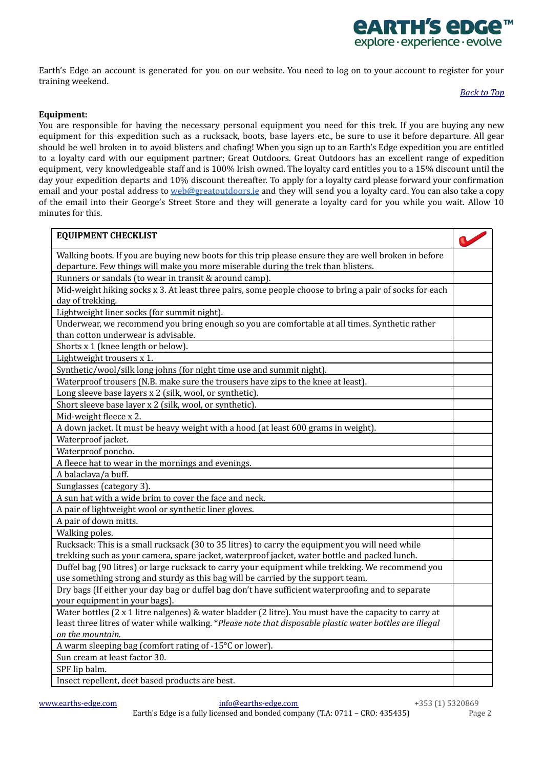

<span id="page-1-0"></span>Earth's Edge an account is generated for you on our website. You need to log on to your account to register for your training weekend.

### *[Back](#page-0-2) to Top*

### **Equipment:**

You are responsible for having the necessary personal equipment you need for this trek. If you are buying any new equipment for this expedition such as a rucksack, boots, base layers etc., be sure to use it before departure. All gear should be well broken in to avoid blisters and chafing! When you sign up to an Earth's Edge expedition you are entitled to a loyalty card with our equipment partner; Great Outdoors. Great Outdoors has an excellent range of expedition equipment, very knowledgeable staff and is 100% Irish owned. The loyalty card entitles you to a 15% discount until the day your expedition departs and 10% discount thereafter. To apply for a loyalty card please forward your confirmation email and your postal address to [web@greatoutdoors.ie](mailto:web@greatoutdoors.ie) and they will send you a loyalty card. You can also take a copy of the email into their George's Street Store and they will generate a loyalty card for you while you wait. Allow 10 minutes for this.

| <b>EQUIPMENT CHECKLIST</b>                                                                                                    |  |
|-------------------------------------------------------------------------------------------------------------------------------|--|
| Walking boots. If you are buying new boots for this trip please ensure they are well broken in before                         |  |
| departure. Few things will make you more miserable during the trek than blisters.                                             |  |
| Runners or sandals (to wear in transit & around camp).                                                                        |  |
| Mid-weight hiking socks x 3. At least three pairs, some people choose to bring a pair of socks for each                       |  |
| day of trekking.                                                                                                              |  |
| Lightweight liner socks (for summit night).                                                                                   |  |
| Underwear, we recommend you bring enough so you are comfortable at all times. Synthetic rather                                |  |
| than cotton underwear is advisable.                                                                                           |  |
| Shorts x 1 (knee length or below).                                                                                            |  |
| Lightweight trousers x 1.                                                                                                     |  |
| Synthetic/wool/silk long johns (for night time use and summit night).                                                         |  |
| Waterproof trousers (N.B. make sure the trousers have zips to the knee at least).                                             |  |
| Long sleeve base layers x 2 (silk, wool, or synthetic).                                                                       |  |
| Short sleeve base layer x 2 (silk, wool, or synthetic).                                                                       |  |
| Mid-weight fleece x 2.                                                                                                        |  |
| A down jacket. It must be heavy weight with a hood (at least 600 grams in weight).                                            |  |
| Waterproof jacket.                                                                                                            |  |
| Waterproof poncho.                                                                                                            |  |
| A fleece hat to wear in the mornings and evenings.                                                                            |  |
| A balaclava/a buff.                                                                                                           |  |
| Sunglasses (category 3).                                                                                                      |  |
| A sun hat with a wide brim to cover the face and neck.                                                                        |  |
| A pair of lightweight wool or synthetic liner gloves.                                                                         |  |
| A pair of down mitts.                                                                                                         |  |
| Walking poles.                                                                                                                |  |
| Rucksack: This is a small rucksack (30 to 35 litres) to carry the equipment you will need while                               |  |
| trekking such as your camera, spare jacket, waterproof jacket, water bottle and packed lunch.                                 |  |
| Duffel bag (90 litres) or large rucksack to carry your equipment while trekking. We recommend you                             |  |
| use something strong and sturdy as this bag will be carried by the support team.                                              |  |
| Dry bags (If either your day bag or duffel bag don't have sufficient waterproofing and to separate                            |  |
| your equipment in your bags).                                                                                                 |  |
| Water bottles (2 x 1 litre nalgenes) & water bladder (2 litre). You must have the capacity to carry at                        |  |
| least three litres of water while walking. *Please note that disposable plastic water bottles are illegal<br>on the mountain. |  |
| A warm sleeping bag (comfort rating of -15°C or lower)                                                                        |  |
| Sun cream at least factor 30.                                                                                                 |  |
| SPF lip balm.                                                                                                                 |  |
| Insect repellent, deet based products are best.                                                                               |  |
|                                                                                                                               |  |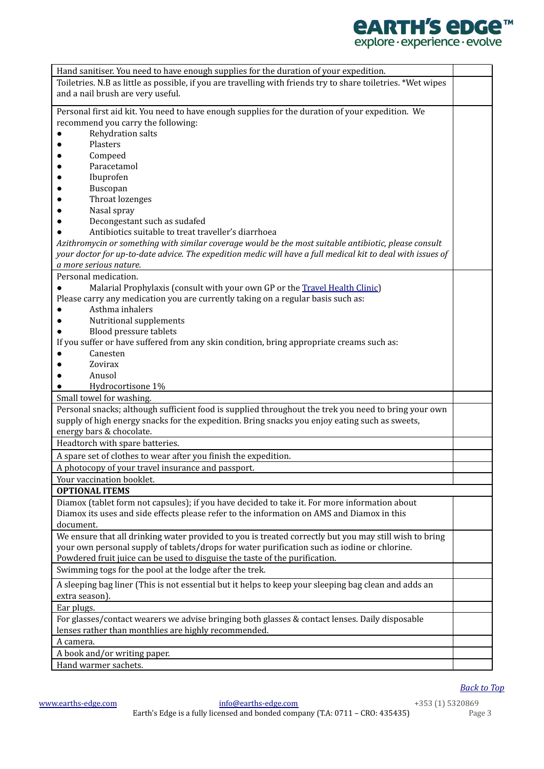# **CARTH'S CDGC™**<br>explore·experience·evolve

| Hand sanitiser. You need to have enough supplies for the duration of your expedition.                         |  |  |
|---------------------------------------------------------------------------------------------------------------|--|--|
| Toiletries. N.B as little as possible, if you are travelling with friends try to share toiletries. *Wet wipes |  |  |
| and a nail brush are very useful.                                                                             |  |  |
| Personal first aid kit. You need to have enough supplies for the duration of your expedition. We              |  |  |
| recommend you carry the following:                                                                            |  |  |
| Rehydration salts                                                                                             |  |  |
| Plasters                                                                                                      |  |  |
|                                                                                                               |  |  |
| Compeed                                                                                                       |  |  |
| Paracetamol                                                                                                   |  |  |
| Ibuprofen                                                                                                     |  |  |
| Buscopan                                                                                                      |  |  |
| Throat lozenges                                                                                               |  |  |
| Nasal spray                                                                                                   |  |  |
| Decongestant such as sudafed                                                                                  |  |  |
| Antibiotics suitable to treat traveller's diarrhoea                                                           |  |  |
| Azithromycin or something with similar coverage would be the most suitable antibiotic, please consult         |  |  |
| your doctor for up-to-date advice. The expedition medic will have a full medical kit to deal with issues of   |  |  |
| a more serious nature.                                                                                        |  |  |
| Personal medication.                                                                                          |  |  |
| Malarial Prophylaxis (consult with your own GP or the Travel Health Clinic)                                   |  |  |
| Please carry any medication you are currently taking on a regular basis such as:                              |  |  |
| Asthma inhalers                                                                                               |  |  |
| Nutritional supplements                                                                                       |  |  |
| Blood pressure tablets                                                                                        |  |  |
| If you suffer or have suffered from any skin condition, bring appropriate creams such as:                     |  |  |
| Canesten                                                                                                      |  |  |
| Zovirax                                                                                                       |  |  |
| Anusol                                                                                                        |  |  |
| Hydrocortisone 1%                                                                                             |  |  |
| Small towel for washing.                                                                                      |  |  |
| Personal snacks; although sufficient food is supplied throughout the trek you need to bring your own          |  |  |
| supply of high energy snacks for the expedition. Bring snacks you enjoy eating such as sweets,                |  |  |
| energy bars & chocolate.                                                                                      |  |  |
| Headtorch with spare batteries.                                                                               |  |  |
| A spare set of clothes to wear after you finish the expedition.                                               |  |  |
| A photocopy of your travel insurance and passport.                                                            |  |  |
| Your vaccination booklet.                                                                                     |  |  |
| <b>OPTIONAL ITEMS</b>                                                                                         |  |  |
| Diamox (tablet form not capsules); if you have decided to take it. For more information about                 |  |  |
| Diamox its uses and side effects please refer to the information on AMS and Diamox in this                    |  |  |
| document.                                                                                                     |  |  |
|                                                                                                               |  |  |
| We ensure that all drinking water provided to you is treated correctly but you may still wish to bring        |  |  |
| your own personal supply of tablets/drops for water purification such as iodine or chlorine.                  |  |  |
| Powdered fruit juice can be used to disguise the taste of the purification.                                   |  |  |
| Swimming togs for the pool at the lodge after the trek.                                                       |  |  |
| A sleeping bag liner (This is not essential but it helps to keep your sleeping bag clean and adds an          |  |  |
| extra season).                                                                                                |  |  |
| Ear plugs.                                                                                                    |  |  |
| For glasses/contact wearers we advise bringing both glasses & contact lenses. Daily disposable                |  |  |
| lenses rather than monthlies are highly recommended.                                                          |  |  |
| A camera.                                                                                                     |  |  |
| A book and/or writing paper.                                                                                  |  |  |
| Hand warmer sachets.                                                                                          |  |  |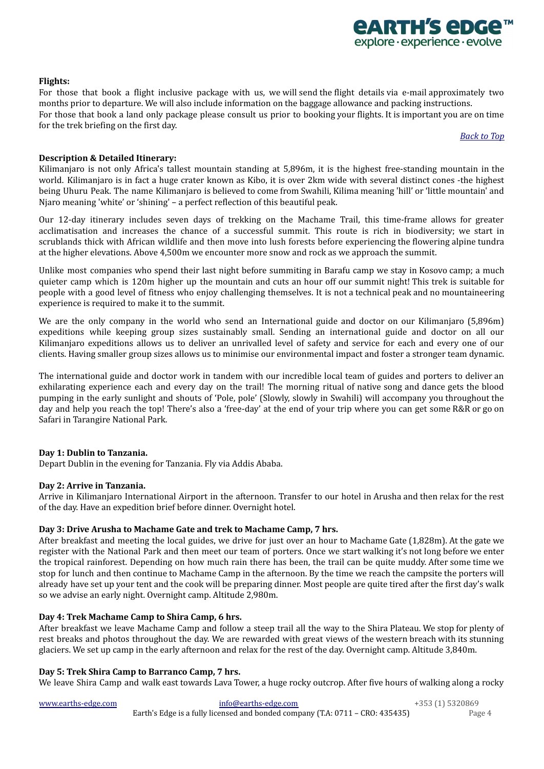### <span id="page-3-0"></span>**Flights:**

For those that book a flight inclusive package with us, we will send the flight details via e-mail approximately two months prior to departure. We will also include information on the baggage allowance and packing instructions. For those that book a land only package please consult us prior to booking your flights. It is important you are on time for the trek briefing on the first day.

*[Back](#page-0-2) to Top*

*<u>ARTH'S ADGA</u>* explore · experience · evolve

### <span id="page-3-1"></span>**Description & Detailed Itinerary:**

Kilimanjaro is not only Africa's tallest mountain standing at 5,896m, it is the highest free-standing mountain in the world. Kilimanjaro is in fact a huge crater known as Kibo, it is over 2km wide with several distinct cones -the highest being Uhuru Peak. The name Kilimanjaro is believed to come from Swahili, Kilima meaning 'hill' or 'little mountain' and Njaro meaning 'white' or 'shining' – a perfect reflection of this beautiful peak.

Our 12-day itinerary includes seven days of trekking on the Machame Trail, this time-frame allows for greater acclimatisation and increases the chance of a successful summit. This route is rich in biodiversity; we start in scrublands thick with African wildlife and then move into lush forests before experiencing the flowering alpine tundra at the higher elevations. Above 4,500m we encounter more snow and rock as we approach the summit.

Unlike most companies who spend their last night before summiting in Barafu camp we stay in Kosovo camp; a much quieter camp which is 120m higher up the mountain and cuts an hour off our summit night! This trek is suitable for people with a good level of fitness who enjoy challenging themselves. It is not a technical peak and no mountaineering experience is required to make it to the summit.

We are the only company in the world who send an International guide and doctor on our Kilimanjaro (5,896m) expeditions while keeping group sizes sustainably small. Sending an international guide and doctor on all our Kilimanjaro expeditions allows us to deliver an unrivalled level of safety and service for each and every one of our clients. Having smaller group sizes allows us to minimise our environmental impact and foster a stronger team dynamic.

The international guide and doctor work in tandem with our incredible local team of guides and porters to deliver an exhilarating experience each and every day on the trail! The morning ritual of native song and dance gets the blood pumping in the early sunlight and shouts of 'Pole, pole' (Slowly, slowly in Swahili) will accompany you throughout the day and help you reach the top! There's also a 'free-day' at the end of your trip where you can get some R&R or go on Safari in Tarangire National Park.

### **Day 1: Dublin to Tanzania.**

Depart Dublin in the evening for Tanzania. Fly via Addis Ababa.

### **Day 2: Arrive in Tanzania.**

Arrive in Kilimanjaro International Airport in the afternoon. Transfer to our hotel in Arusha and then relax for the rest of the day. Have an expedition brief before dinner. Overnight hotel.

### **Day 3: Drive Arusha to Machame Gate and trek to Machame Camp, 7 hrs.**

After breakfast and meeting the local guides, we drive for just over an hour to Machame Gate (1,828m). At the gate we register with the National Park and then meet our team of porters. Once we start walking it's not long before we enter the tropical rainforest. Depending on how much rain there has been, the trail can be quite muddy. After some time we stop for lunch and then continue to Machame Camp in the afternoon. By the time we reach the campsite the porters will already have set up your tent and the cook will be preparing dinner. Most people are quite tired after the first day's walk so we advise an early night. Overnight camp. Altitude 2,980m.

### **Day 4: Trek Machame Camp to Shira Camp, 6 hrs.**

After breakfast we leave Machame Camp and follow a steep trail all the way to the Shira Plateau. We stop for plenty of rest breaks and photos throughout the day. We are rewarded with great views of the western breach with its stunning glaciers. We set up camp in the early afternoon and relax for the rest of the day. Overnight camp. Altitude 3,840m.

### **Day 5: Trek Shira Camp to Barranco Camp, 7 hrs.**

We leave Shira Camp and walk east towards Lava Tower, a huge rocky outcrop. After five hours of walking along a rocky

[www.earths-edge.com](http://www.earths-edge.com/) [info@earths-edge.com](mailto:info@earths-edge.com) +353 (1) 5320869 Earth's Edge is a fully licensed and bonded company (T.A: 0711 – CRO: 435435) Page 4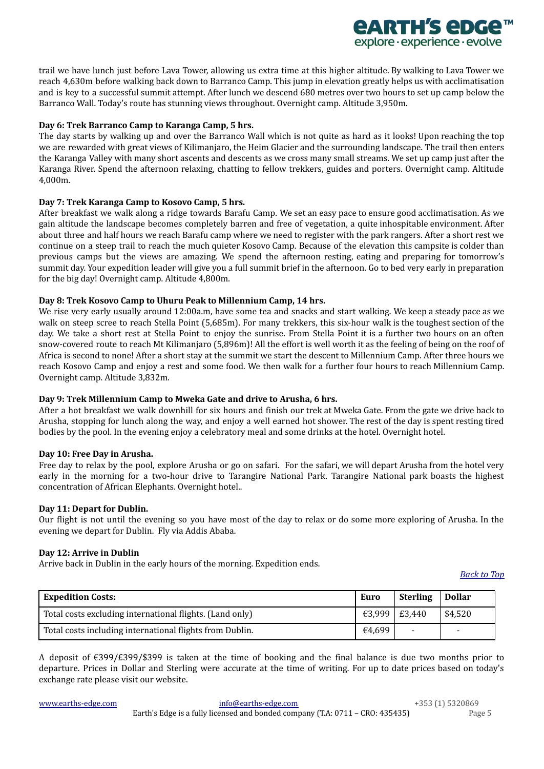

### **Day 6: Trek Barranco Camp to Karanga Camp, 5 hrs.**

The day starts by walking up and over the Barranco Wall which is not quite as hard as it looks! Upon reaching the top we are rewarded with great views of Kilimanjaro, the Heim Glacier and the surrounding landscape. The trail then enters the Karanga Valley with many short ascents and descents as we cross many small streams. We set up camp just after the Karanga River. Spend the afternoon relaxing, chatting to fellow trekkers, guides and porters. Overnight camp. Altitude 4,000m.

### **Day 7: Trek Karanga Camp to Kosovo Camp, 5 hrs.**

After breakfast we walk along a ridge towards Barafu Camp. We set an easy pace to ensure good acclimatisation. As we gain altitude the landscape becomes completely barren and free of vegetation, a quite inhospitable environment. After about three and half hours we reach Barafu camp where we need to register with the park rangers. After a short rest we continue on a steep trail to reach the much quieter Kosovo Camp. Because of the elevation this campsite is colder than previous camps but the views are amazing. We spend the afternoon resting, eating and preparing for tomorrow's summit day. Your expedition leader will give you a full summit brief in the afternoon. Go to bed very early in preparation for the big day! Overnight camp. Altitude 4,800m.

### **Day 8: Trek Kosovo Camp to Uhuru Peak to Millennium Camp, 14 hrs.**

We rise very early usually around 12:00a.m, have some tea and snacks and start walking. We keep a steady pace as we walk on steep scree to reach Stella Point (5,685m). For many trekkers, this six-hour walk is the toughest section of the day. We take a short rest at Stella Point to enjoy the sunrise. From Stella Point it is a further two hours on an often snow-covered route to reach Mt Kilimanjaro (5,896m)! All the effort is well worth it as the feeling of being on the roof of Africa is second to none! After a short stay at the summit we start the descent to Millennium Camp. After three hours we reach Kosovo Camp and enjoy a rest and some food. We then walk for a further four hours to reach Millennium Camp. Overnight camp. Altitude 3,832m.

### **Day 9: Trek Millennium Camp to Mweka Gate and drive to Arusha, 6 hrs.**

After a hot breakfast we walk downhill for six hours and finish our trek at Mweka Gate. From the gate we drive back to Arusha, stopping for lunch along the way, and enjoy a well earned hot shower. The rest of the day is spent resting tired bodies by the pool. In the evening enjoy a celebratory meal and some drinks at the hotel. Overnight hotel.

### **Day 10: Free Day in Arusha.**

Free day to relax by the pool, explore Arusha or go on safari. For the safari, we will depart Arusha from the hotel very early in the morning for a two-hour drive to Tarangire National Park. Tarangire National park boasts the highest concentration of African Elephants. Overnight hotel..

### **Day 11: Depart for Dublin.**

Our flight is not until the evening so you have most of the day to relax or do some more exploring of Arusha. In the evening we depart for Dublin. Fly via Addis Ababa.

### **Day 12: Arrive in Dublin**

Arrive back in Dublin in the early hours of the morning. Expedition ends.

*[Back](#page-0-2) to Top*

*<u>ARTH'S ADGA</u>* explore · experience · evolve

<span id="page-4-0"></span>

| <b>Expedition Costs:</b>                                 | Euro          | <b>Sterling</b>          | Dollar  |
|----------------------------------------------------------|---------------|--------------------------|---------|
| Total costs excluding international flights. (Land only) | €3,999 E3,440 |                          | \$4,520 |
| Total costs including international flights from Dublin. | €4.699        | $\overline{\phantom{a}}$ | $\sim$  |

A deposit of €399/£399/\$399 is taken at the time of booking and the final balance is due two months prior to departure. Prices in Dollar and Sterling were accurate at the time of writing. For up to date prices based on today's exchange rate please visit our website.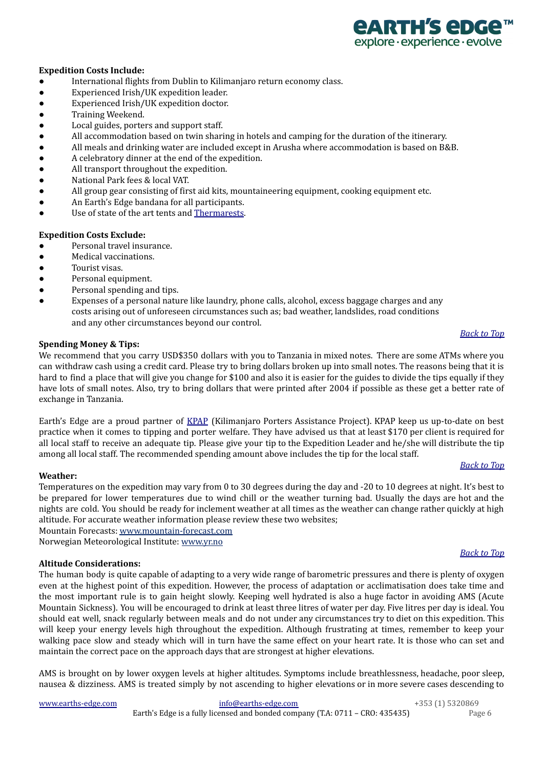

### **Expedition Costs Include:**

- International flights from Dublin to Kilimanjaro return economy class.
- Experienced Irish/UK expedition leader.
- Experienced Irish/UK expedition doctor.
- Training Weekend.
- Local guides, porters and support staff.
- All accommodation based on twin sharing in hotels and camping for the duration of the itinerary.
- All meals and drinking water are included except in Arusha where accommodation is based on B&B.
- A celebratory dinner at the end of the expedition.
- All transport throughout the expedition.
- National Park fees & local VAT.
- All group gear consisting of first aid kits, mountaineering equipment, cooking equipment etc.
- An Earth's Edge bandana for all participants.
- Use of state of the art tents and [Thermarests](https://www.thermarest.com/ie/products/sleeping-pads).

### **Expedition Costs Exclude:**

- Personal travel insurance.
- Medical vaccinations.
- Tourist visas.
- Personal equipment.
- Personal spending and tips.
- Expenses of a personal nature like laundry, phone calls, alcohol, excess baggage charges and any costs arising out of unforeseen circumstances such as; bad weather, landslides, road conditions and any other circumstances beyond our control.

### **Spending Money & Tips:**

We recommend that you carry USD\$350 dollars with you to Tanzania in mixed notes. There are some ATMs where you can withdraw cash using a credit card. Please try to bring dollars broken up into small notes. The reasons being that it is hard to find a place that will give you change for \$100 and also it is easier for the guides to divide the tips equally if they have lots of small notes. Also, try to bring dollars that were printed after 2004 if possible as these get a better rate of exchange in Tanzania.

Earth's Edge are a proud partner of [KPAP](https://kiliporters.org/) (Kilimanjaro Porters Assistance Project). KPAP keep us up-to-date on best practice when it comes to tipping and porter welfare. They have advised us that at least \$170 per client is required for all local staff to receive an adequate tip. Please give your tip to the Expedition Leader and he/she will distribute the tip among all local staff. The recommended spending amount above includes the tip for the local staff.

### <span id="page-5-0"></span>**Weather:**

Temperatures on the expedition may vary from 0 to 30 degrees during the day and -20 to 10 degrees at night. It's best to be prepared for lower temperatures due to wind chill or the weather turning bad. Usually the days are hot and the nights are cold. You should be ready for inclement weather at all times as the weather can change rather quickly at high altitude. For accurate weather information please review these two websites;

Mountain Forecasts: [www.mountain-forecast.com](http://www.mountain-forecast.com) Norwegian Meteorological Institute: [www.yr.no](http://www.yr.no)

### <span id="page-5-1"></span>**Altitude Considerations:**

The human body is quite capable of adapting to a very wide range of barometric pressures and there is plenty of oxygen even at the highest point of this expedition. However, the process of adaptation or acclimatisation does take time and the most important rule is to gain height slowly. Keeping well hydrated is also a huge factor in avoiding AMS (Acute Mountain Sickness). You will be encouraged to drink at least three litres of water per day. Five litres per day is ideal. You should eat well, snack regularly between meals and do not under any circumstances try to diet on this expedition. This will keep your energy levels high throughout the expedition. Although frustrating at times, remember to keep your walking pace slow and steady which will in turn have the same effect on your heart rate. It is those who can set and maintain the correct pace on the approach days that are strongest at higher elevations.

AMS is brought on by lower oxygen levels at higher altitudes. Symptoms include breathlessness, headache, poor sleep, nausea & dizziness. AMS is treated simply by not ascending to higher elevations or in more severe cases descending to

[www.earths-edge.com](http://www.earths-edge.com/) [info@earths-edge.com](mailto:info@earths-edge.com) +353 (1) 5320869 Earth's Edge is a fully licensed and bonded company (T.A: 0711 – CRO: 435435) Page 6

### *[Back](#page-0-2) to Top*

### *[Back](#page-0-2) to Top*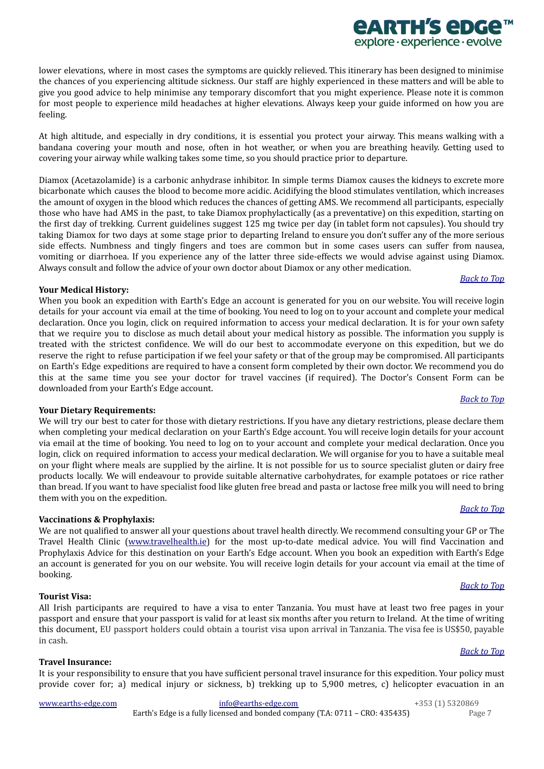lower elevations, where in most cases the symptoms are quickly relieved. This itinerary has been designed to minimise the chances of you experiencing altitude sickness. Our staff are highly experienced in these matters and will be able to give you good advice to help minimise any temporary discomfort that you might experience. Please note it is common for most people to experience mild headaches at higher elevations. Always keep your guide informed on how you are

At high altitude, and especially in dry conditions, it is essential you protect your airway. This means walking with a bandana covering your mouth and nose, often in hot weather, or when you are breathing heavily. Getting used to covering your airway while walking takes some time, so you should practice prior to departure.

Diamox (Acetazolamide) is a carbonic anhydrase inhibitor. In simple terms Diamox causes the kidneys to excrete more bicarbonate which causes the blood to become more acidic. Acidifying the blood stimulates ventilation, which increases the amount of oxygen in the blood which reduces the chances of getting AMS. We recommend all participants, especially those who have had AMS in the past, to take Diamox prophylactically (as a preventative) on this expedition, starting on the first day of trekking. Current guidelines suggest 125 mg twice per day (in tablet form not capsules). You should try taking Diamox for two days at some stage prior to departing Ireland to ensure you don't suffer any of the more serious side effects. Numbness and tingly fingers and toes are common but in some cases users can suffer from nausea, vomiting or diarrhoea. If you experience any of the latter three side-effects we would advise against using Diamox. Always consult and follow the advice of your own doctor about Diamox or any other medication.

### <span id="page-6-3"></span>**Your Medical History:**

feeling.

When you book an expedition with Earth's Edge an account is generated for you on our website. You will receive login details for your account via email at the time of booking. You need to log on to your account and complete your medical declaration. Once you login, click on required information to access your medical declaration. It is for your own safety that we require you to disclose as much detail about your medical history as possible. The information you supply is treated with the strictest confidence. We will do our best to accommodate everyone on this expedition, but we do reserve the right to refuse participation if we feel your safety or that of the group may be compromised. All participants on Earth's Edge expeditions are required to have a consent form completed by their own doctor. We recommend you do this at the same time you see your doctor for travel vaccines (if required). The Doctor's Consent Form can be downloaded from your Earth's Edge account.

### <span id="page-6-4"></span>**Your Dietary Requirements:**

We will try our best to cater for those with dietary restrictions. If you have any dietary restrictions, please declare them when completing your medical declaration on your Earth's Edge account. You will receive login details for your account via email at the time of booking. You need to log on to your account and complete your medical declaration. Once you login, click on required information to access your medical declaration. We will organise for you to have a suitable meal on your flight where meals are supplied by the airline. It is not possible for us to source specialist gluten or dairy free products locally. We will endeavour to provide suitable alternative carbohydrates, for example potatoes or rice rather than bread. If you want to have specialist food like gluten free bread and pasta or lactose free milk you will need to bring them with you on the expedition.

### <span id="page-6-0"></span>**Vaccinations & Prophylaxis:**

We are not qualified to answer all your questions about travel health directly. We recommend consulting your GP or The Travel Health Clinic ([www.travelhealth.ie](http://www.travelhealth.ie/)) for the most up-to-date medical advice. You will find Vaccination and Prophylaxis Advice for this destination on your Earth's Edge account. When you book an expedition with Earth's Edge an account is generated for you on our website. You will receive login details for your account via email at the time of booking.

### <span id="page-6-1"></span>**Tourist Visa:**

All Irish participants are required to have a visa to enter Tanzania. You must have at least two free pages in your passport and ensure that your passport is valid for at least six months after you return to Ireland. At the time of writing this document, EU passport holders could obtain a tourist visa upon arrival in Tanzania. The visa fee is US\$50, payable in cash.

### <span id="page-6-2"></span>**Travel Insurance:**

It is your responsibility to ensure that you have sufficient personal travel insurance for this expedition. Your policy must provide cover for; a) medical injury or sickness, b) trekking up to 5,900 metres, c) helicopter evacuation in an

[www.earths-edge.com](http://www.earths-edge.com/) [info@earths-edge.com](mailto:info@earths-edge.com) +353 (1) 5320869 Earth's Edge is a fully licensed and bonded company (T.A: 0711 – CRO: 435435) Page 7

# *[Back](#page-0-2) to Top*

### *[Back](#page-0-2) to Top*

### *[Back](#page-0-2) to Top*

# *[Back](#page-0-2) to Top*

### *[Back](#page-0-2) to Top*

# *<u>EARTH'S EDGE</u>* explore · experience · evolve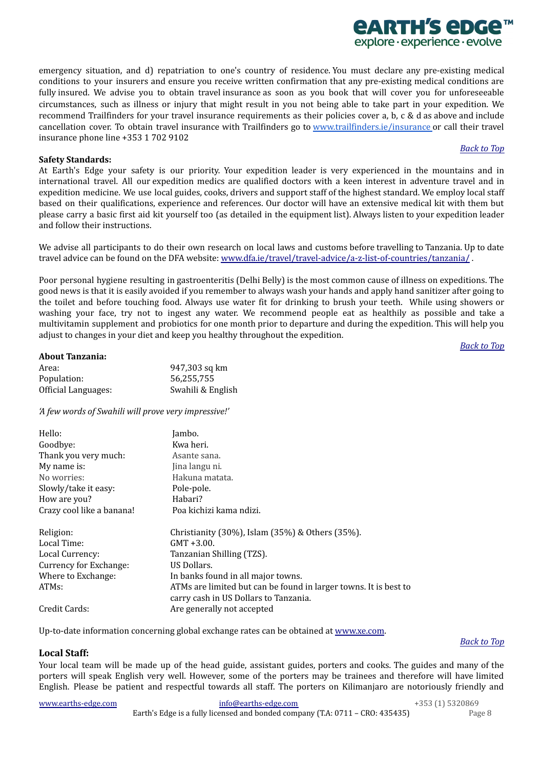emergency situation, and d) repatriation to one's country of residence. You must declare any pre-existing medical conditions to your insurers and ensure you receive written confirmation that any pre-existing medical conditions are fully insured. We advise you to obtain travel insurance as soon as you book that will cover you for unforeseeable circumstances, such as illness or injury that might result in you not being able to take part in your expedition. We recommend Trailfinders for your travel insurance requirements as their policies cover a, b, c & d as above and include cancellation cover. To obtain travel insurance with Trailfinders go to [www.trailfinders.ie/insurance](http://www.trailfinders.ie/insurance) or call their travel insurance phone line +353 1 702 9102

### <span id="page-7-0"></span>**Safety Standards:**

At Earth's Edge your safety is our priority. Your expedition leader is very experienced in the mountains and in international travel. All our expedition medics are qualified doctors with a keen interest in adventure travel and in expedition medicine. We use local guides, cooks, drivers and support staff of the highest standard. We employ local staff based on their qualifications, experience and references. Our doctor will have an extensive medical kit with them but please carry a basic first aid kit yourself too (as detailed in the equipment list). Always listen to your expedition leader and follow their instructions.

We advise all participants to do their own research on local laws and customs before travelling to Tanzania. Up to date travel advice can be found on the DFA website: [www.dfa.ie/travel/travel-advice/a-z-list-of-countries/tanzania/](http://www.dfa.ie/travel/travel-advice/a-z-list-of-countries/tanzania/) .

Poor personal hygiene resulting in gastroenteritis (Delhi Belly) is the most common cause of illness on expeditions. The good news is that it is easily avoided if you remember to always wash your hands and apply hand sanitizer after going to the toilet and before touching food. Always use water fit for drinking to brush your teeth. While using showers or washing your face, try not to ingest any water. We recommend people eat as healthily as possible and take a multivitamin supplement and probiotics for one month prior to departure and during the expedition. This will help you adjust to changes in your diet and keep you healthy throughout the expedition.

*[Back](#page-0-2) to Top*

### <span id="page-7-1"></span>**About Tanzania:**

| Area:               | 947,303 sq km     |
|---------------------|-------------------|
| Population:         | 56,255,755        |
| Official Languages: | Swahili & English |

*'A few words of Swahili will prove very impressive!'*

| Hello:                    | Jambo.                                                                                                    |
|---------------------------|-----------------------------------------------------------------------------------------------------------|
| Goodbye:                  | Kwa heri.                                                                                                 |
| Thank you very much:      | Asante sana.                                                                                              |
| My name is:               | Jina langu ni.                                                                                            |
| No worries:               | Hakuna matata.                                                                                            |
| Slowly/take it easy:      | Pole-pole.                                                                                                |
| How are you?              | Habari?                                                                                                   |
| Crazy cool like a banana! | Poa kichizi kama ndizi.                                                                                   |
| Religion:                 | Christianity (30%), Islam (35%) & Others (35%).                                                           |
| Local Time:               | $GMT + 3.00.$                                                                                             |
| Local Currency:           | Tanzanian Shilling (TZS).                                                                                 |
| Currency for Exchange:    | US Dollars.                                                                                               |
| Where to Exchange:        | In banks found in all major towns.                                                                        |
| ATM <sub>s</sub> :        | ATMs are limited but can be found in larger towns. It is best to<br>carry cash in US Dollars to Tanzania. |
| Credit Cards:             | Are generally not accepted                                                                                |

<span id="page-7-2"></span>Up-to-date information concerning global exchange rates can be obtained at [www.xe.com](http://www.xe.com/).

### **Local Staff:**

Your local team will be made up of the head guide, assistant guides, porters and cooks. The guides and many of the porters will speak English very well. However, some of the porters may be trainees and therefore will have limited English. Please be patient and respectful towards all staff. The porters on Kilimanjaro are notoriously friendly and

[www.earths-edge.com](http://www.earths-edge.com/) [info@earths-edge.com](mailto:info@earths-edge.com) +353 (1) 5320869 Earth's Edge is a fully licensed and bonded company (T.A: 0711 – CRO: 435435) Page 8

*[Back](#page-0-2) to Top*

### *<u>ARTH'S ADGA</u>* explore · experience · evolve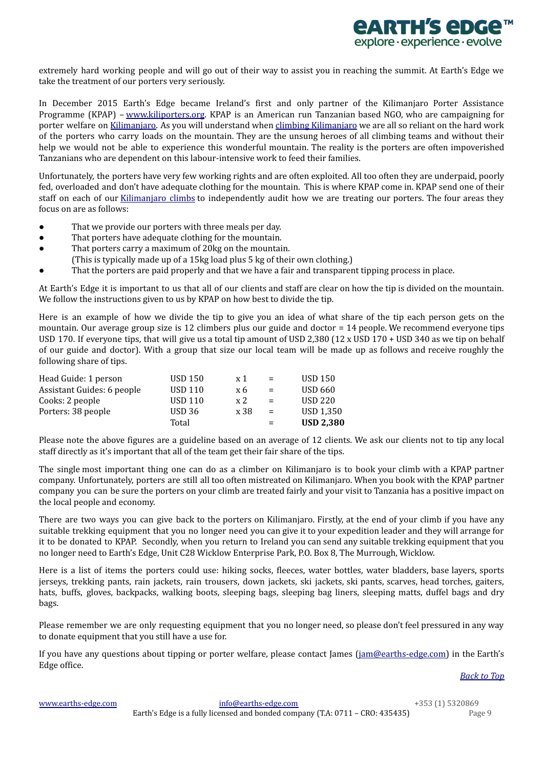

extremely hard working people and will go out of their way to assist you in reaching the summit. At Earth's Edge we take the treatment of our porters very seriously.

In December 2015 Earth's Edge became Ireland's first and only partner of the Kilimanjaro Porter Assistance Programme (KPAP) – [www.kiliporters.org](http://www.kiliporters.org/). KPAP is an American run Tanzanian based NGO, who are campaigning for porter welfare on [Kilimanjaro.](http://www.earths-edge.com/expedition/kilimanjaro-climb/) As you will understand when climbing [Kilimanjaro](http://www.earths-edge.com/expedition/kilimanjaro-climb/) we are all so reliant on the hard work of the porters who carry loads on the mountain. They are the unsung heroes of all climbing teams and without their help we would not be able to experience this wonderful mountain. The reality is the porters are often impoverished Tanzanians who are dependent on this labour-intensive work to feed their families.

Unfortunately, the porters have very few working rights and are often exploited. All too often they are underpaid, poorly fed, overloaded and don't have adequate clothing for the mountain. This is where KPAP come in. KPAP send one of their staff on each of our [Kilimanjaro](http://www.earths-edge.com/expedition/kilimanjaro-climb/) climbs to independently audit how we are treating our porters. The four areas they focus on are as follows:

- That we provide our porters with three meals per day.
- That porters have adequate clothing for the mountain.
- That porters carry a maximum of 20kg on the mountain.
- (This is typically made up of a 15kg load plus 5 kg of their own clothing.)
- That the porters are paid properly and that we have a fair and transparent tipping process in place.

At Earth's Edge it is important to us that all of our clients and staff are clear on how the tip is divided on the mountain. We follow the instructions given to us by KPAP on how best to divide the tip.

Here is an example of how we divide the tip to give you an idea of what share of the tip each person gets on the mountain. Our average group size is 12 climbers plus our guide and doctor = 14 people. We recommend everyone tips USD 170. If everyone tips, that will give us a total tip amount of USD 2,380 (12 x USD 170 + USD 340 as we tip on behalf of our guide and doctor). With a group that size our local team will be made up as follows and receive roughly the following share of tips.

|                            | Total             |      | $=$ | <b>USD 2,380</b> |
|----------------------------|-------------------|------|-----|------------------|
| Porters: 38 people         | USD <sub>36</sub> | x 38 | $=$ | USD 1.350        |
| Cooks: 2 people            | <b>USD 110</b>    | x 2  | $=$ | USD 220          |
| Assistant Guides: 6 people | <b>USD 110</b>    | x6   | $=$ | <b>USD 660</b>   |
| Head Guide: 1 person       | <b>USD 150</b>    | x 1  | $=$ | <b>USD 150</b>   |

Please note the above figures are a guideline based on an average of 12 clients. We ask our clients not to tip any local staff directly as it's important that all of the team get their fair share of the tips.

The single most important thing one can do as a climber on Kilimanjaro is to book your climb with a KPAP partner company. Unfortunately, porters are still all too often mistreated on Kilimanjaro. When you book with the KPAP partner company you can be sure the porters on your climb are treated fairly and your visit to Tanzania has a positive impact on the local people and economy.

There are two ways you can give back to the porters on Kilimanjaro. Firstly, at the end of your climb if you have any suitable trekking equipment that you no longer need you can give it to your expedition leader and they will arrange for it to be donated to KPAP. Secondly, when you return to Ireland you can send any suitable trekking equipment that you no longer need to Earth's Edge, Unit C28 Wicklow Enterprise Park, P.O. Box 8, The Murrough, Wicklow.

Here is a list of items the porters could use: hiking socks, fleeces, water bottles, water bladders, base layers, sports jerseys, trekking pants, rain jackets, rain trousers, down jackets, ski jackets, ski pants, scarves, head torches, gaiters, hats, buffs, gloves, backpacks, walking boots, sleeping bags, sleeping bag liners, sleeping matts, duffel bags and dry bags.

Please remember we are only requesting equipment that you no longer need, so please don't feel pressured in any way to donate equipment that you still have a use for.

If you have any questions about tipping or porter welfare, please contact James ( $\overline{\text{jam}\text{@earth}}s\text{-edge.com}$ ) in the Earth's Edge office.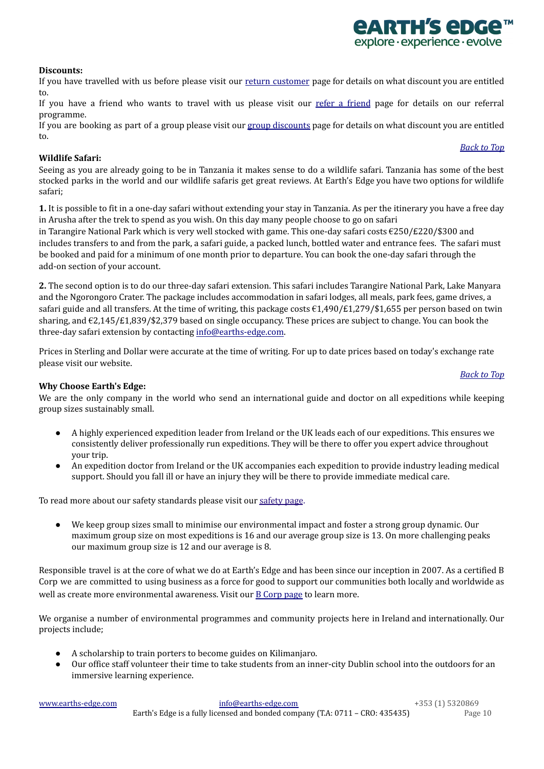### [www.earths-edge.com](http://www.earths-edge.com/) [info@earths-edge.com](mailto:info@earths-edge.com) +353 (1) 5320869 Earth's Edge is a fully licensed and bonded company (T.A: 0711 – CRO: 435435) Page 10

### <span id="page-9-0"></span>**Discounts:**

If you have travelled with us before please visit our return [customer](https://www.earths-edge.com/return-customers/) page for details on what discount you are entitled to.

If you have a [friend](https://www.earths-edge.com/refer-a-friend/) who wants to travel with us please visit our refer a friend page for details on our referral programme.

If you are booking as part of a group please visit our group [discounts](https://www.earths-edge.com/group-discounts/) page for details on what discount you are entitled to.

### <span id="page-9-1"></span>**Wildlife Safari:**

Seeing as you are already going to be in Tanzania it makes sense to do a wildlife safari. Tanzania has some of the best stocked parks in the world and our wildlife safaris get great reviews. At Earth's Edge you have two options for wildlife safari;

**1.** It is possible to fit in a one-day safari without extending your stay in Tanzania. As per the itinerary you have a free day in Arusha after the trek to spend as you wish. On this day many people choose to go on safari

in Tarangire National Park which is very well stocked with game. This one-day safari costs €250/£220/\$300 and includes transfers to and from the park, a safari guide, a packed lunch, bottled water and entrance fees. The safari must be booked and paid for a minimum of one month prior to departure. You can book the one-day safari through the add-on section of your account.

**2.** The second option is to do our three-day safari extension. This safari includes Tarangire National Park, Lake Manyara and the Ngorongoro Crater. The package includes accommodation in safari lodges, all meals, park fees, game drives, a safari guide and all transfers. At the time of writing, this package costs  $\epsilon$ 1,490/ $\epsilon$ 1,279/\$1,655 per person based on twin sharing, and €2,145/£1,839/\$2,379 based on single occupancy. These prices are subject to change. You can book the three-day safari extension by contacting [info@earths-edge.com](mailto:info@earths-edge.com).

<span id="page-9-2"></span>Prices in Sterling and Dollar were accurate at the time of writing. For up to date prices based on today's exchange rate please visit our website.

### *[Back](#page-0-2) to Top*

### **Why Choose Earth's Edge:**

We are the only company in the world who send an international guide and doctor on all expeditions while keeping group sizes sustainably small.

- A highly experienced expedition leader from Ireland or the UK leads each of our expeditions. This ensures we consistently deliver professionally run expeditions. They will be there to offer you expert advice throughout your trip.
- An expedition doctor from Ireland or the UK accompanies each expedition to provide industry leading medical support. Should you fall ill or have an injury they will be there to provide immediate medical care.

To read more about our [safety](https://www.earths-edge.com/safety/) standards please visit our safety page.

● We keep group sizes small to minimise our environmental impact and foster a strong group dynamic. Our maximum group size on most expeditions is 16 and our average group size is 13. On more challenging peaks our maximum group size is 12 and our average is 8.

Responsible travel is at the core of what we do at Earth's Edge and has been since our inception in 2007. As a certified B Corp we are committed to using business as a force for good to support our communities both locally and worldwide as well as create more environmental awareness. Visit our B [Corp](https://earths-edge.com/b-corp/) page to learn more.

We organise a number of environmental programmes and community projects here in Ireland and internationally. Our projects include;

- A scholarship to train porters to become guides on Kilimanjaro.
- Our office staff volunteer their time to take students from an inner-city Dublin school into the outdoors for an immersive learning experience.